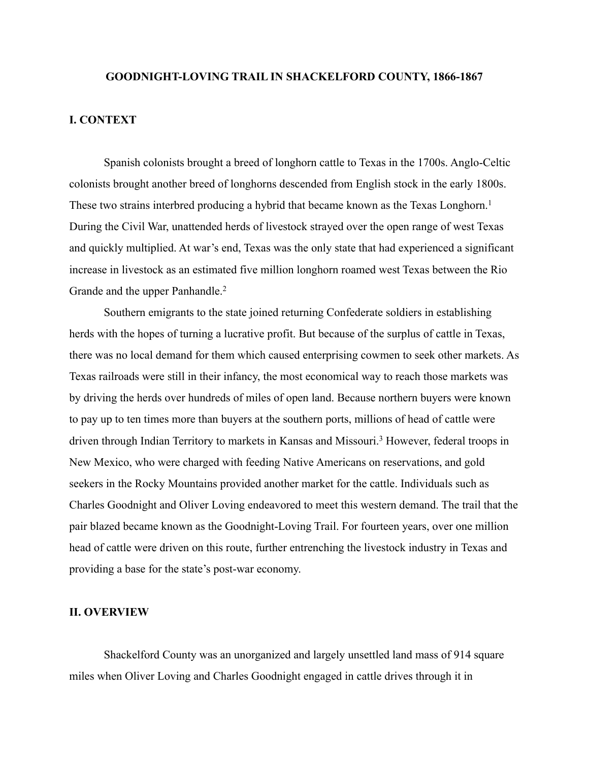#### **GOODNIGHT-LOVING TRAIL IN SHACKELFORD COUNTY, 1866-1867**

## **I. CONTEXT**

 Spanish colonists brought a breed of longhorn cattle to Texas in the 1700s. Anglo-Celtic colonists brought another breed of longhorns descended from English stock in the early 1800s. These two strains interbred producing a hybrid that became known as the Texas Longhorn.<sup>1</sup> During the Civil War, unattended herds of livestock strayed over the open range of west Texas and quickly multiplied. At war's end, Texas was the only state that had experienced a significant increase in livestock as an estimated five million longhorn roamed west Texas between the Rio Grande and the upper Panhandle.<sup>2</sup>

 Southern emigrants to the state joined returning Confederate soldiers in establishing herds with the hopes of turning a lucrative profit. But because of the surplus of cattle in Texas, there was no local demand for them which caused enterprising cowmen to seek other markets. As Texas railroads were still in their infancy, the most economical way to reach those markets was by driving the herds over hundreds of miles of open land. Because northern buyers were known to pay up to ten times more than buyers at the southern ports, millions of head of cattle were driven through Indian Territory to markets in Kansas and Missouri.<sup>3</sup> However, federal troops in New Mexico, who were charged with feeding Native Americans on reservations, and gold seekers in the Rocky Mountains provided another market for the cattle. Individuals such as Charles Goodnight and Oliver Loving endeavored to meet this western demand. The trail that the pair blazed became known as the Goodnight-Loving Trail. For fourteen years, over one million head of cattle were driven on this route, further entrenching the livestock industry in Texas and providing a base for the state's post-war economy.

# **II. OVERVIEW**

 Shackelford County was an unorganized and largely unsettled land mass of 914 square miles when Oliver Loving and Charles Goodnight engaged in cattle drives through it in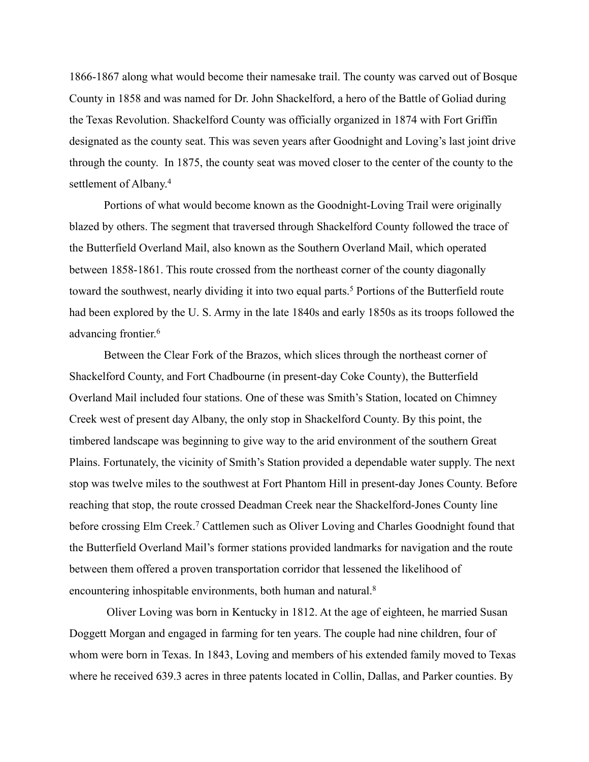1866-1867 along what would become their namesake trail. The county was carved out of Bosque County in 1858 and was named for Dr. John Shackelford, a hero of the Battle of Goliad during the Texas Revolution. Shackelford County was officially organized in 1874 with Fort Griffin designated as the county seat. This was seven years after Goodnight and Loving's last joint drive through the county. In 1875, the county seat was moved closer to the center of the county to the settlement of Albany.4

 Portions of what would become known as the Goodnight-Loving Trail were originally blazed by others. The segment that traversed through Shackelford County followed the trace of the Butterfield Overland Mail, also known as the Southern Overland Mail, which operated between 1858-1861. This route crossed from the northeast corner of the county diagonally toward the southwest, nearly dividing it into two equal parts.<sup>5</sup> Portions of the Butterfield route had been explored by the U. S. Army in the late 1840s and early 1850s as its troops followed the advancing frontier.6

 Between the Clear Fork of the Brazos, which slices through the northeast corner of Shackelford County, and Fort Chadbourne (in present-day Coke County), the Butterfield Overland Mail included four stations. One of these was Smith's Station, located on Chimney Creek west of present day Albany, the only stop in Shackelford County. By this point, the timbered landscape was beginning to give way to the arid environment of the southern Great Plains. Fortunately, the vicinity of Smith's Station provided a dependable water supply. The next stop was twelve miles to the southwest at Fort Phantom Hill in present-day Jones County. Before reaching that stop, the route crossed Deadman Creek near the Shackelford-Jones County line before crossing Elm Creek.<sup>7</sup> Cattlemen such as Oliver Loving and Charles Goodnight found that the Butterfield Overland Mail's former stations provided landmarks for navigation and the route between them offered a proven transportation corridor that lessened the likelihood of encountering inhospitable environments, both human and natural.<sup>8</sup>

 Oliver Loving was born in Kentucky in 1812. At the age of eighteen, he married Susan Doggett Morgan and engaged in farming for ten years. The couple had nine children, four of whom were born in Texas. In 1843, Loving and members of his extended family moved to Texas where he received 639.3 acres in three patents located in Collin, Dallas, and Parker counties. By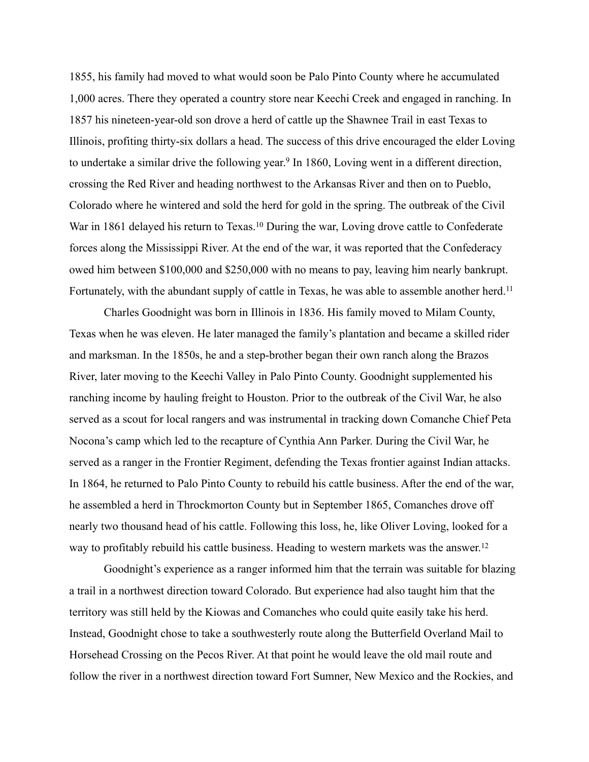1855, his family had moved to what would soon be Palo Pinto County where he accumulated 1,000 acres. There they operated a country store near Keechi Creek and engaged in ranching. In 1857 his nineteen-year-old son drove a herd of cattle up the Shawnee Trail in east Texas to Illinois, profiting thirty-six dollars a head. The success of this drive encouraged the elder Loving to undertake a similar drive the following year.<sup>9</sup> In 1860, Loving went in a different direction, crossing the Red River and heading northwest to the Arkansas River and then on to Pueblo, Colorado where he wintered and sold the herd for gold in the spring. The outbreak of the Civil War in 1861 delayed his return to Texas.<sup>10</sup> During the war, Loving drove cattle to Confederate forces along the Mississippi River. At the end of the war, it was reported that the Confederacy owed him between \$100,000 and \$250,000 with no means to pay, leaving him nearly bankrupt. Fortunately, with the abundant supply of cattle in Texas, he was able to assemble another herd.<sup>11</sup>

 Charles Goodnight was born in Illinois in 1836. His family moved to Milam County, Texas when he was eleven. He later managed the family's plantation and became a skilled rider and marksman. In the 1850s, he and a step-brother began their own ranch along the Brazos River, later moving to the Keechi Valley in Palo Pinto County. Goodnight supplemented his ranching income by hauling freight to Houston. Prior to the outbreak of the Civil War, he also served as a scout for local rangers and was instrumental in tracking down Comanche Chief Peta Nocona's camp which led to the recapture of Cynthia Ann Parker. During the Civil War, he served as a ranger in the Frontier Regiment, defending the Texas frontier against Indian attacks. In 1864, he returned to Palo Pinto County to rebuild his cattle business. After the end of the war, he assembled a herd in Throckmorton County but in September 1865, Comanches drove off nearly two thousand head of his cattle. Following this loss, he, like Oliver Loving, looked for a way to profitably rebuild his cattle business. Heading to western markets was the answer.<sup>12</sup>

 Goodnight's experience as a ranger informed him that the terrain was suitable for blazing a trail in a northwest direction toward Colorado. But experience had also taught him that the territory was still held by the Kiowas and Comanches who could quite easily take his herd. Instead, Goodnight chose to take a southwesterly route along the Butterfield Overland Mail to Horsehead Crossing on the Pecos River. At that point he would leave the old mail route and follow the river in a northwest direction toward Fort Sumner, New Mexico and the Rockies, and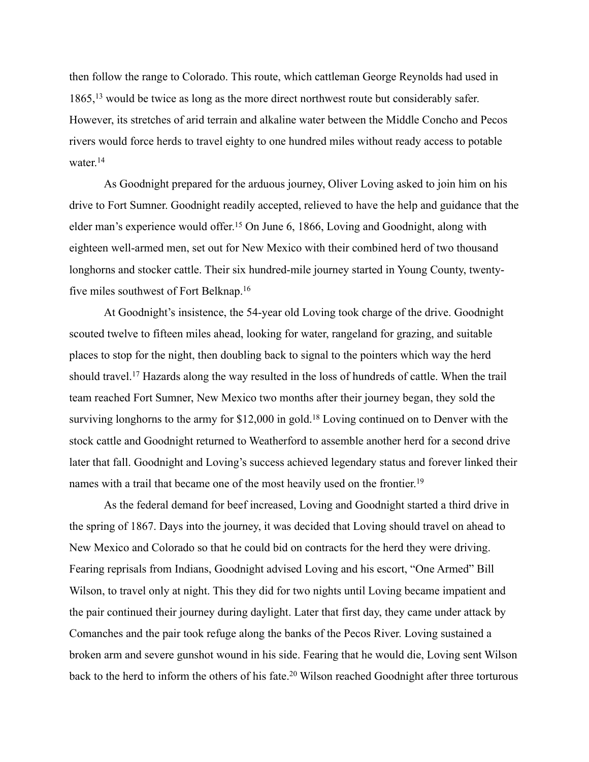then follow the range to Colorado. This route, which cattleman George Reynolds had used in  $1865$ ,  $13$  would be twice as long as the more direct northwest route but considerably safer. However, its stretches of arid terrain and alkaline water between the Middle Concho and Pecos rivers would force herds to travel eighty to one hundred miles without ready access to potable water.<sup>14</sup>

 As Goodnight prepared for the arduous journey, Oliver Loving asked to join him on his drive to Fort Sumner. Goodnight readily accepted, relieved to have the help and guidance that the elder man's experience would offer.<sup>15</sup> On June 6, 1866, Loving and Goodnight, along with eighteen well-armed men, set out for New Mexico with their combined herd of two thousand longhorns and stocker cattle. Their six hundred-mile journey started in Young County, twentyfive miles southwest of Fort Belknap.16

 At Goodnight's insistence, the 54-year old Loving took charge of the drive. Goodnight scouted twelve to fifteen miles ahead, looking for water, rangeland for grazing, and suitable places to stop for the night, then doubling back to signal to the pointers which way the herd should travel.<sup>17</sup> Hazards along the way resulted in the loss of hundreds of cattle. When the trail team reached Fort Sumner, New Mexico two months after their journey began, they sold the surviving longhorns to the army for  $$12,000$  in gold.<sup>18</sup> Loving continued on to Denver with the stock cattle and Goodnight returned to Weatherford to assemble another herd for a second drive later that fall. Goodnight and Loving's success achieved legendary status and forever linked their names with a trail that became one of the most heavily used on the frontier.<sup>19</sup>

 As the federal demand for beef increased, Loving and Goodnight started a third drive in the spring of 1867. Days into the journey, it was decided that Loving should travel on ahead to New Mexico and Colorado so that he could bid on contracts for the herd they were driving. Fearing reprisals from Indians, Goodnight advised Loving and his escort, "One Armed" Bill Wilson, to travel only at night. This they did for two nights until Loving became impatient and the pair continued their journey during daylight. Later that first day, they came under attack by Comanches and the pair took refuge along the banks of the Pecos River. Loving sustained a broken arm and severe gunshot wound in his side. Fearing that he would die, Loving sent Wilson back to the herd to inform the others of his fate.<sup>20</sup> Wilson reached Goodnight after three torturous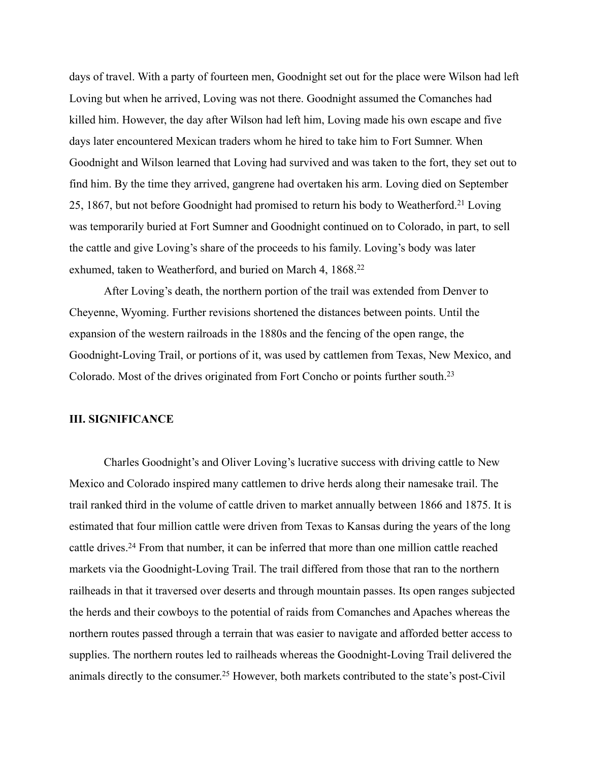days of travel. With a party of fourteen men, Goodnight set out for the place were Wilson had left Loving but when he arrived, Loving was not there. Goodnight assumed the Comanches had killed him. However, the day after Wilson had left him, Loving made his own escape and five days later encountered Mexican traders whom he hired to take him to Fort Sumner. When Goodnight and Wilson learned that Loving had survived and was taken to the fort, they set out to find him. By the time they arrived, gangrene had overtaken his arm. Loving died on September 25, 1867, but not before Goodnight had promised to return his body to Weatherford.<sup>21</sup> Loving was temporarily buried at Fort Sumner and Goodnight continued on to Colorado, in part, to sell the cattle and give Loving's share of the proceeds to his family. Loving's body was later exhumed, taken to Weatherford, and buried on March 4, 1868.<sup>22</sup>

 After Loving's death, the northern portion of the trail was extended from Denver to Cheyenne, Wyoming. Further revisions shortened the distances between points. Until the expansion of the western railroads in the 1880s and the fencing of the open range, the Goodnight-Loving Trail, or portions of it, was used by cattlemen from Texas, New Mexico, and Colorado. Most of the drives originated from Fort Concho or points further south.23

# **III. SIGNIFICANCE**

Charles Goodnight's and Oliver Loving's lucrative success with driving cattle to New Mexico and Colorado inspired many cattlemen to drive herds along their namesake trail. The trail ranked third in the volume of cattle driven to market annually between 1866 and 1875. It is estimated that four million cattle were driven from Texas to Kansas during the years of the long cattle drives.<sup>24</sup> From that number, it can be inferred that more than one million cattle reached markets via the Goodnight-Loving Trail. The trail differed from those that ran to the northern railheads in that it traversed over deserts and through mountain passes. Its open ranges subjected the herds and their cowboys to the potential of raids from Comanches and Apaches whereas the northern routes passed through a terrain that was easier to navigate and afforded better access to supplies. The northern routes led to railheads whereas the Goodnight-Loving Trail delivered the animals directly to the consumer.<sup>25</sup> However, both markets contributed to the state's post-Civil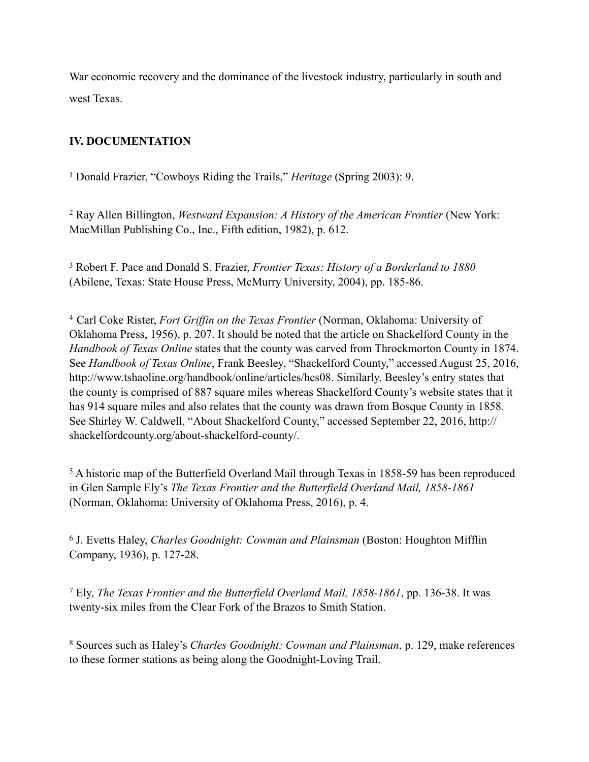War economic recovery and the dominance of the livestock industry, particularly in south and west Texas.

# **IV. DOCUMENTATION**

<sup>1</sup> Donald Frazier, "Cowboys Riding the Trails," *Heritage* (Spring 2003): 9.

 Ray Allen Billington, *Westward Expansion: A History of the American Frontier* (New York: 2 MacMillan Publishing Co., Inc., Fifth edition, 1982), p. 612.

 Robert F. Pace and Donald S. Frazier, *Frontier Texas: History of a Borderland to 1880* <sup>3</sup> (Abilene, Texas: State House Press, McMurry University, 2004), pp. 185-86.

Carl Coke Rister, *Fort Griffin on the Texas Frontier* (Norman, Oklahoma: University of 4 Oklahoma Press, 1956), p. 207. It should be noted that the article on Shackelford County in the *Handbook of Texas Online* states that the county was carved from Throckmorton County in 1874. See *Handbook of Texas Online*, Frank Beesley, "Shackelford County," accessed August 25, 2016, <http://www.tshaoline.org/handbook/online/articles/hcs08>. Similarly, Beesley's entry states that the county is comprised of 887 square miles whereas Shackelford County's website states that it has 914 square miles and also relates that the county was drawn from Bosque County in 1858. [See Shirley W. Caldwell, "About Shackelford County," accessed September 22, 2016, http://](http://shackelfordcounty.org/about-shackelford-county/) shackelfordcounty.org/about-shackelford-county/.

<sup>5</sup> A historic map of the Butterfield Overland Mail through Texas in 1858-59 has been reproduced in Glen Sample Ely's *The Texas Frontier and the Butterfield Overland Mail, 1858-1861* (Norman, Oklahoma: University of Oklahoma Press, 2016), p. 4.

 J. Evetts Haley, *Charles Goodnight: Cowman and Plainsman* (Boston: Houghton Mifflin 6 Company, 1936), p. 127-28.

 Ely, *The Texas Frontier and the Butterfield Overland Mail, 1858-1861*, pp. 136-38. It was 7 twenty-six miles from the Clear Fork of the Brazos to Smith Station.

 Sources such as Haley's *Charles Goodnight: Cowman and Plainsman*, p. 129, make references 8 to these former stations as being along the Goodnight-Loving Trail.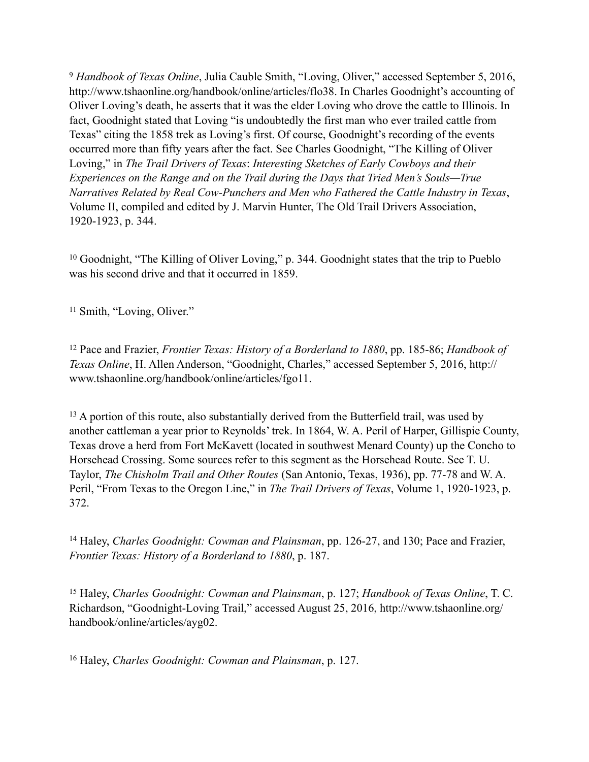<sup>9</sup> Handbook of Texas Online, Julia Cauble Smith, "Loving, Oliver," accessed September 5, 2016, [http://www.tshaonline.org/handbook/online/articles/flo38.](http://www.tshaonline.org/handbook/online/articles/flo38) In Charles Goodnight's accounting of Oliver Loving's death, he asserts that it was the elder Loving who drove the cattle to Illinois. In fact, Goodnight stated that Loving "is undoubtedly the first man who ever trailed cattle from Texas" citing the 1858 trek as Loving's first. Of course, Goodnight's recording of the events occurred more than fifty years after the fact. See Charles Goodnight, "The Killing of Oliver Loving," in *The Trail Drivers of Texas*: *Interesting Sketches of Early Cowboys and their Experiences on the Range and on the Trail during the Days that Tried Men's Souls—True Narratives Related by Real Cow-Punchers and Men who Fathered the Cattle Industry in Texas*, Volume II, compiled and edited by J. Marvin Hunter, The Old Trail Drivers Association, 1920-1923, p. 344.

<sup>10</sup> Goodnight, "The Killing of Oliver Loving," p. 344. Goodnight states that the trip to Pueblo was his second drive and that it occurred in 1859.

<sup>11</sup> Smith, "Loving, Oliver."

<sup>12</sup> Pace and Frazier, *Frontier Texas: History of a Borderland to 1880*, pp. 185-86; *Handbook of Texas Online*, H. Allen Anderson, "Goodnight, Charles," accessed September 5, 2016, http:// www.tshaonline.org/handbook/online/articles/fgo11.

 $13$  A portion of this route, also substantially derived from the Butterfield trail, was used by another cattleman a year prior to Reynolds' trek. In 1864, W. A. Peril of Harper, Gillispie County, Texas drove a herd from Fort McKavett (located in southwest Menard County) up the Concho to Horsehead Crossing. Some sources refer to this segment as the Horsehead Route. See T. U. Taylor, *The Chisholm Trail and Other Routes* (San Antonio, Texas, 1936), pp. 77-78 and W. A. Peril, "From Texas to the Oregon Line," in *The Trail Drivers of Texas*, Volume 1, 1920-1923, p. 372.

<sup>14</sup> Haley, *Charles Goodnight: Cowman and Plainsman*, pp. 126-27, and 130; Pace and Frazier, *Frontier Texas: History of a Borderland to 1880*, p. 187.

<sup>15</sup> Haley, *Charles Goodnight: Cowman and Plainsman*, p. 127; *Handbook of Texas Online*, T. C. [Richardson, "Goodnight-Loving Trail," accessed August 25, 2016, http://www.tshaonline.org/](http://www.tshaonline.org/handbook/online/articles/ayg02) handbook/online/articles/ayg02.

<sup>16</sup> Haley, *Charles Goodnight: Cowman and Plainsman*, p. 127.